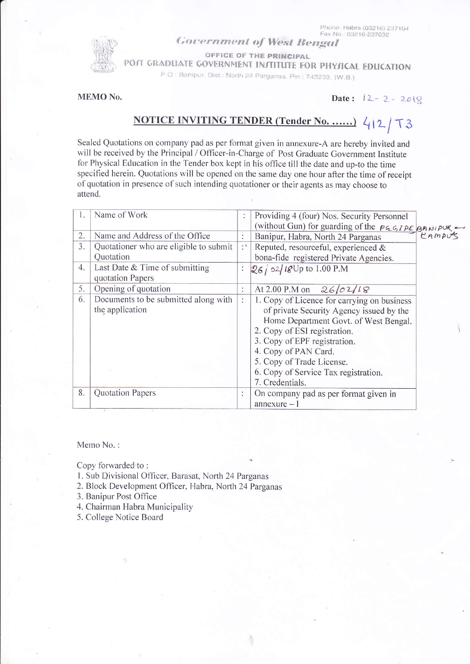## **Government of West Bengal**

OFFICE OF THE PRINCIPAL

POJT GRADUATE GOVERNMENT INJTITUTE FOR PHYJICAL EDUCATION

P.O.: Banipur, Dist.: North 24 Parganas, Pin.: 743233, (W.B.)

MEMO No.

Date:  $12 - 2 - 2018$ 

## NOTICE INVITING TENDER (Tender No. ......) 412/73

Sealed Quotations on company pad as per format given in annexure-A are hereby invited and will be received by the Principal / Officer-in-Charge of Post Graduate Government Institute for Physical Education in the Tender box kept in his office till the date and up-to the time specified herein. Quotations will be opened on the same day one hour after the time of receipt of quotation in presence of such intending quotationer or their agents as may choose to attend.

| $\mathbf{L}$ | Name of Work                           |                      | Providing 4 (four) Nos. Security Personnel              |  |
|--------------|----------------------------------------|----------------------|---------------------------------------------------------|--|
|              |                                        |                      | (without Gun) for guarding of the <i>PGGIPE</i> BANIPUR |  |
| 2.           | Name and Address of the Office         |                      | Banipur, Habra, North 24 Parganas                       |  |
| 3.           | Quotationer who are eligible to submit | $\cdot$ <sup>3</sup> | Reputed, resourceful, experienced &                     |  |
|              | Quotation                              |                      | bona-fide registered Private Agencies.                  |  |
| 4.           | Last Date $&$ Time of submitting       | :                    | $26/02/18$ Up to 1.00 P.M                               |  |
|              | quotation Papers                       |                      |                                                         |  |
| 5.           | Opening of quotation                   | $\ddot{\cdot}$       | At 2.00 P.M on $26/02/18$                               |  |
| 6.           | Documents to be submitted along with   |                      | 1. Copy of Licence for carrying on business             |  |
|              | the application                        |                      | of private Security Agency issued by the                |  |
|              |                                        |                      | Home Department Govt. of West Bengal.                   |  |
|              |                                        |                      | 2. Copy of ESI registration.                            |  |
|              |                                        |                      | 3. Copy of EPF registration.                            |  |
|              |                                        |                      | 4. Copy of PAN Card.                                    |  |
|              |                                        |                      | 5. Copy of Trade License.                               |  |
|              |                                        |                      | 6. Copy of Service Tax registration.                    |  |
|              |                                        |                      | 7. Credentials.                                         |  |
| 8.           | Quotation Papers                       | ÷                    | On company pad as per format given in                   |  |
|              |                                        |                      | $annexure - I$                                          |  |

Memo No.:

Copy forwarded to:

- 1. Sub Divisional Officer, Barasat, North 24 Parganas
- 2. Block Development Officer, Habra, North 24 Parganas

3. Banipur Post Office

- 4. Chairman Habra Municipality
- 5. College Notice Board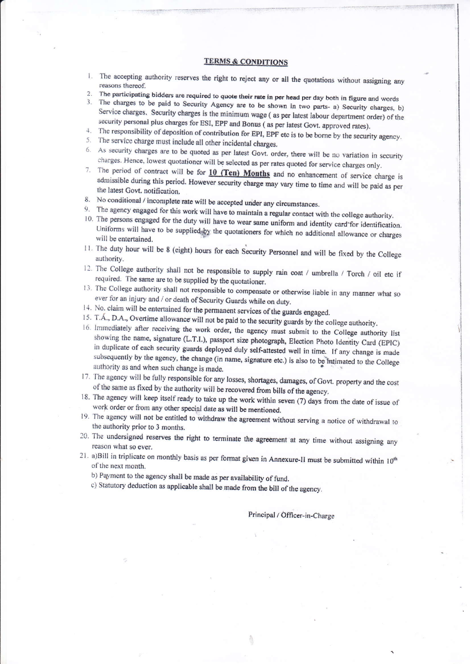## **TERMS & CONDITIONS**

- 1. The accepting authority reserves the right to reject any or all the quotations without assigning any reasons thereof.
- The participating bidders are required to quote their rate in per head per day both in figure and words  $2.$
- The charges to be paid to Security Agency are to be shown in two parts- a) Security charges, b) Service charges. Security charges is the minimum wage (as per latest labour department order) of the security personal plus charges for ESI, EPF and Bonus (as per latest Govt. approved rates).
- 4. The responsibility of deposition of contribution for EPI, EPF etc is to be borne by the security agency.
- 5. The service charge must include all other incidental charges.
- 6. As security charges are to be quoted as per latest Govt. order, there will be no variation in security charges. Hence, lowest quotationer will be selected as per rates quoted for service charges only.
- 7. The period of contract will be for 10 (Ten) Months and no enhancement of service charge is admissible during this period. However security charge may vary time to time and will be paid as per the latest Govt. notification.
- 8. No conditional / incomplete rate will be accepted under any circumstances.
- 9. The agency engaged for this work will have to maintain a regular contact with the college authority.
- 10. The persons engaged for the duty will have to wear same uniform and identity card\*for identification. Uniforms will have to be supplied by the quotationers for which no additional allowance or charges will be entertained.
- 11. The duty hour will be 8 (eight) hours for each Security Personnel and will be fixed by the College authority.
- 12. The College authority shall not be responsible to supply rain coat / umbrella / Torch / oil etc if required. The same are to be supplied by the quotationer.
- 13. The College authority shall not responsible to compensate or otherwise liable in any manner what so ever for an injury and / or death of Security Guards while on duty.
- 14. No. claim will be entertained for the permanent services of the guards engaged.
- 15. T.Á., D.A., Overtime allowance will not be paid to the security guards by the college authority.
- 16. Immediately after receiving the work order, the agency must submit to the College authority list showing the name, signature (L.T.I.), passport size photograph, Election Photo Identity Card (EPIC) in duplicate of each security guards deployed duly self-attested well in time. If any change is made subsequently by the agency, the change (in name, signature etc.) is also to be intimated to the College authority as and when such change is made.
- 17. The agency will be fully responsible for any losses, shortages, damages, of Govt. property and the cost of the same as fixed by the authority will be recovered from bills of the agency.
- 18. The agency will keep itself ready to take up the work within seven (7) days from the date of issue of work order or from any other special date as will be mentioned.
- 19. The agency will not be entitled to withdraw the agreement without serving a notice of withdrawal to the authority prior to 3 months.
- 20. The undersigned reserves the right to terminate the agreement at any time without assigning any reason what so ever.
- 21. a)Bill in triplicate on monthly basis as per format given in Annexure-II must be submitted within 10<sup>th</sup> of the next month.
	- b) Payment to the agency shall be made as per availability of fund.
	- c) Statutory deduction as applicable shall be made from the bill of the agency.

Principal / Officer-in-Charge